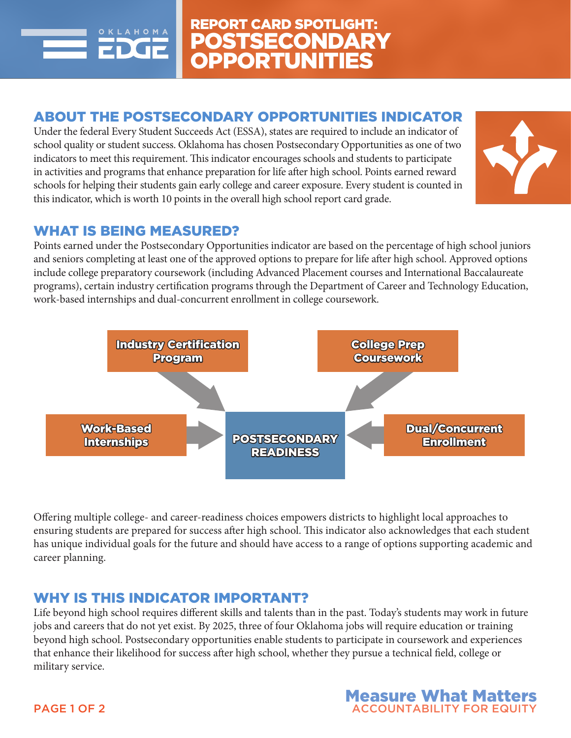

# ABOUT THE POSTSECONDARY OPPORTUNITIES INDICATOR

Under the federal Every Student Succeeds Act (ESSA), states are required to include an indicator of school quality or student success. Oklahoma has chosen Postsecondary Opportunities as one of two indicators to meet this requirement. This indicator encourages schools and students to participate in activities and programs that enhance preparation for life after high school. Points earned reward schools for helping their students gain early college and career exposure. Every student is counted in this indicator, which is worth 10 points in the overall high school report card grade.



### WHAT IS BEING MEASURED?

Points earned under the Postsecondary Opportunities indicator are based on the percentage of high school juniors and seniors completing at least one of the approved options to prepare for life after high school. Approved options include college preparatory coursework (including Advanced Placement courses and International Baccalaureate programs), certain industry certification programs through the Department of Career and Technology Education, work-based internships and dual-concurrent enrollment in college coursework.



Offering multiple college- and career-readiness choices empowers districts to highlight local approaches to ensuring students are prepared for success after high school. This indicator also acknowledges that each student has unique individual goals for the future and should have access to a range of options supporting academic and career planning.

### WHY IS THIS INDICATOR IMPORTANT?

Life beyond high school requires different skills and talents than in the past. Today's students may work in future jobs and careers that do not yet exist. By 2025, three of four Oklahoma jobs will require education or training beyond high school. Postsecondary opportunities enable students to participate in coursework and experiences that enhance their likelihood for success after high school, whether they pursue a technical field, college or military service.